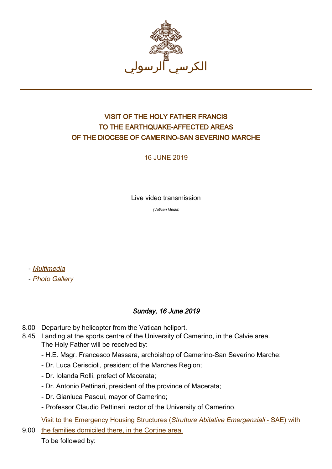

## VISIT OF THE HOLY FATHER FRANCIS TO THE EARTHQUAKE-AFFECTED AREAS OF THE DIOCESE OF CAMERINO-SAN SEVERINO MARCHE

16 JUNE 2019

Live video transmission

(Vatican Media)

- [Multimedia](http://w2.vatican.va/content/francesco/ar/events/event.dir.html/content/vaticanevents/ar/2019/6/16/visita-camerino-sanseverinomarche.html)

- [Photo Gallery](http://www.photogallery.va/content/photogallery/ar/eventi/camerino2019.html)

## Sunday, 16 June 2019

- 8.00 Departure by helicopter from the Vatican heliport.
- 8.45 Landing at the sports centre of the University of Camerino, in the Calvie area. The Holy Father will be received by:
	- H.E. Msgr. Francesco Massara, archbishop of Camerino-San Severino Marche;
	- Dr. Luca Ceriscioli, president of the Marches Region;
	- Dr. Iolanda Rolli, prefect of Macerata;
	- Dr. Antonio Pettinari, president of the province of Macerata;
	- Dr. Gianluca Pasqui, mayor of Camerino;
	- Professor Claudio Pettinari, rector of the University of Camerino.

[Visit to the Emergency Housing Structures \(](http://w2.vatican.va/content/francesco/ar/events/event.dir.html/content/vaticanevents/ar/2019/6/16/camerino.html)Strutture Abitative Emergenziali [- SAE\) with](http://w2.vatican.va/content/francesco/ar/events/event.dir.html/content/vaticanevents/ar/2019/6/16/camerino.html)

9.00 [the families domiciled there, in the Cortine area.](http://w2.vatican.va/content/francesco/ar/events/event.dir.html/content/vaticanevents/ar/2019/6/16/camerino.html)

To be followed by: